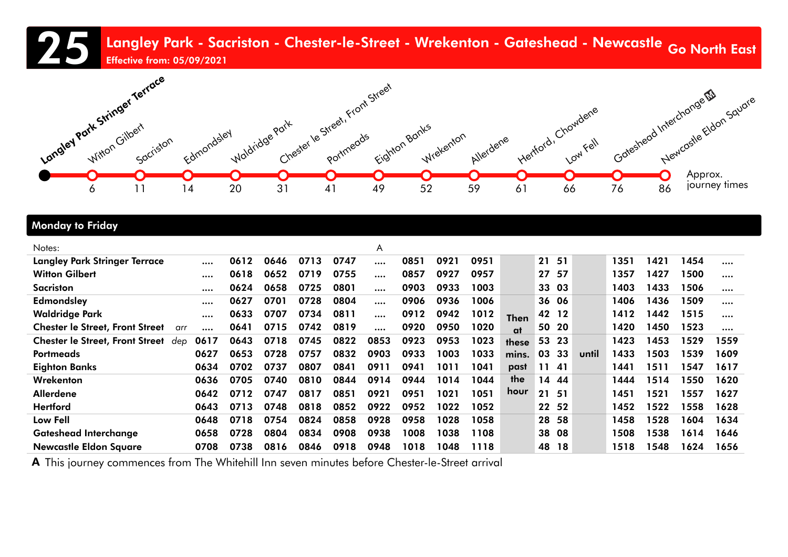25 Langley Park - Sacriston - Chester-le-Street - Wrekenton - Gateshead - Newcastle <sub>Go North</sub> East<br>Effective from: 05/09/2021 Effective from: 05/09/2021



### Monday to Friday

| Notes:                                        |         |      |      |      |      | A        |      |      |      |             |    |       |       |      |      |      |      |
|-----------------------------------------------|---------|------|------|------|------|----------|------|------|------|-------------|----|-------|-------|------|------|------|------|
| <b>Langley Park Stringer Terrace</b>          |         | 0612 | 0646 | 0713 | 0747 |          | 0851 | 0921 | 0951 |             | 21 | 51    |       | 1351 | 1421 | 1454 |      |
| <b>Witton Gilbert</b>                         |         | 0618 | 0652 | 0719 | 0755 |          | 0857 | 0927 | 0957 |             | 27 | 57    |       | 1357 | 1427 | 1500 |      |
| Sacriston                                     |         | 0624 | 0658 | 0725 | 0801 |          | 0903 | 0933 | 1003 |             |    | 33 03 |       | 1403 | 1433 | 1506 |      |
| <b>Edmondsley</b>                             |         | 0627 | 0701 | 0728 | 0804 | $\cdots$ | 0906 | 0936 | 1006 |             | 36 | 06    |       | 1406 | 1436 | 1509 |      |
| <b>Waldridge Park</b>                         |         | 0633 | 0707 | 0734 | 0811 |          | 0912 | 0942 | 1012 | <b>Then</b> |    | 42 12 |       | 1412 | 1442 | 1515 |      |
| <b>Chester le Street, Front Street</b>        | arr<br> | 0641 | 0715 | 0742 | 0819 | $\cdots$ | 0920 | 0950 | 1020 | at          | 50 | 20    |       | 1420 | 1450 | 1523 |      |
| <b>Chester le Street, Front Street</b><br>dep | 0617    | 0643 | 0718 | 0745 | 0822 | 0853     | 0923 | 0953 | 1023 | these       | 53 | -23   |       | 1423 | 1453 | 1529 | 1559 |
| <b>Portmeads</b>                              | 0627    | 0653 | 0728 | 0757 | 0832 | 0903     | 0933 | 1003 | 1033 | mins.       | 03 | 33    | until | 1433 | 1503 | 1539 | 1609 |
| <b>Eighton Banks</b>                          | 0634    | 0702 | 0737 | 0807 | 0841 | 0911     | 0941 | 1011 | 1041 | past        |    | 11 41 |       | 1441 | 1511 | 1547 | 1617 |
| Wrekenton                                     | 0636    | 0705 | 0740 | 0810 | 0844 | 0914     | 0944 | 1014 | 1044 | the         | 14 | 44    |       | 1444 | 1514 | 1550 | 1620 |
| Allerdene                                     | 0642    | 0712 | 0747 | 0817 | 0851 | 0921     | 0951 | 1021 | 1051 | hour        | 21 | - 51  |       | 1451 | 1521 | 1557 | 1627 |
| <b>Hertford</b>                               | 0643    | 0713 | 0748 | 0818 | 0852 | 0922     | 0952 | 1022 | 1052 |             | 22 | 52    |       | 1452 | 1522 | 1558 | 1628 |
| Low Fell                                      | 0648    | 0718 | 0754 | 0824 | 0858 | 0928     | 0958 | 1028 | 1058 |             | 28 | 58    |       | 1458 | 1528 | 1604 | 1634 |
| <b>Gateshead Interchange</b>                  | 0658    | 0728 | 0804 | 0834 | 0908 | 0938     | 1008 | 1038 | 1108 |             | 38 | 08    |       | 1508 | 1538 | 1614 | 1646 |
| <b>Newcastle Eldon Square</b>                 | 0708    | 0738 | 0816 | 0846 | 0918 | 0948     | 1018 | 1048 | 1118 |             | 48 | 18    |       | 1518 | 1548 | 1624 | 1656 |

A This journey commences from The Whitehill Inn seven minutes before Chester-le-Street arrival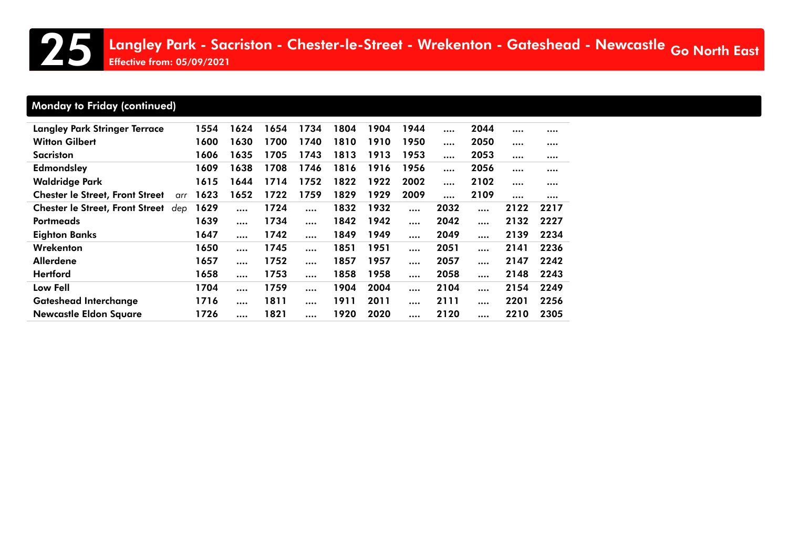# Monday to Friday (continued)

| <b>Langley Park Stringer Terrace</b>          | 1554 | 1624     | 1654 | 1734     | 1804 | 1904 | 1944     | $\cdots$ | 2044     | $\cdots$ |          |
|-----------------------------------------------|------|----------|------|----------|------|------|----------|----------|----------|----------|----------|
| <b>Witton Gilbert</b>                         | 1600 | 1630     | 1700 | 1740     | 1810 | 1910 | 1950     | $\cdots$ | 2050     | $\cdots$ |          |
| Sacriston                                     | 1606 | 1635     | 1705 | 1743     | 1813 | 1913 | 1953     | $\cdots$ | 2053     |          |          |
| Edmondsley                                    | 1609 | 1638     | 1708 | 1746     | 1816 | 1916 | 1956     | $\cdots$ | 2056     | $\cdots$ |          |
| <b>Waldridge Park</b>                         | 1615 | 1644     | 1714 | 1752     | 1822 | 1922 | 2002     | $\cdots$ | 2102     | $\cdots$ |          |
| <b>Chester le Street, Front Street</b><br>arr | 1623 | 1652     | 1722 | 1759     | 1829 | 1929 | 2009     |          | 2109     |          | $\cdots$ |
| <b>Chester le Street, Front Street</b><br>dep | 1629 | $\cdots$ | 1724 | $\cdots$ | 1832 | 1932 | $\cdots$ | 2032     | $\cdots$ | 2122     | 2217     |
| <b>Portmeads</b>                              | 1639 |          | 1734 | $\cdots$ | 1842 | 1942 |          | 2042     |          | 2132     | 2227     |
| <b>Eighton Banks</b>                          | 1647 | $\cdots$ | 1742 | $\cdots$ | 1849 | 1949 | $\cdots$ | 2049     | $\cdots$ | 2139     | 2234     |
| Wrekenton                                     | 1650 | $\cdots$ | 1745 |          | 1851 | 1951 |          | 2051     | $\cdots$ | 2141     | 2236     |
| Allerdene                                     | 1657 | $\cdots$ | 1752 |          | 1857 | 1957 | $\cdots$ | 2057     |          | 2147     | 2242     |
| <b>Hertford</b>                               | 1658 | $\cdots$ | 1753 | $\cdots$ | 1858 | 1958 | $\cdots$ | 2058     | $\cdots$ | 2148     | 2243     |
| Low Fell                                      | 1704 | $\cdots$ | 1759 | $\cdots$ | 1904 | 2004 | $\cdots$ | 2104     |          | 2154     | 2249     |
| <b>Gateshead Interchange</b>                  | 1716 | $\cdots$ | 1811 |          | 1911 | 2011 |          | 2111     |          | 2201     | 2256     |
| <b>Newcastle Eldon Square</b>                 | 1726 | $\cdots$ | 1821 |          | 1920 | 2020 | $\cdots$ | 2120     |          | 2210     | 2305     |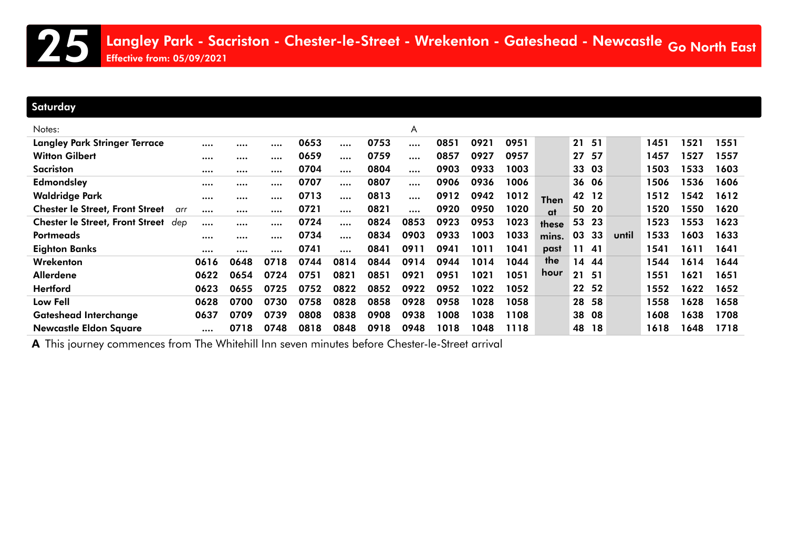### **Saturday**

| Notes:                                 |     |      |      |      |      |          |      | A        |      |      |      |             |    |       |       |      |      |      |
|----------------------------------------|-----|------|------|------|------|----------|------|----------|------|------|------|-------------|----|-------|-------|------|------|------|
| <b>Langley Park Stringer Terrace</b>   |     |      |      |      | 0653 |          | 0753 |          | 0851 | 0921 | 0951 |             | 21 | 51    |       | 1451 | 1521 | 1551 |
| <b>Witton Gilbert</b>                  |     |      |      |      | 0659 |          | 0759 |          | 0857 | 0927 | 0957 |             | 27 | 57    |       | 1457 | 1527 | 1557 |
| Sacriston                              |     |      |      |      | 0704 | $\cdots$ | 0804 | $\cdots$ | 0903 | 0933 | 1003 |             | 33 | 03    |       | 1503 | 1533 | 1603 |
| <b>Edmondsley</b>                      |     |      |      |      | 0707 |          | 0807 |          | 0906 | 0936 | 1006 |             | 36 | 06    |       | 1506 | 1536 | 1606 |
| <b>Waldridge Park</b>                  |     |      |      |      | 0713 |          | 0813 | $\cdots$ | 0912 | 0942 | 1012 | <b>Then</b> | 42 | 12    |       | 1512 | 1542 | 1612 |
| <b>Chester le Street, Front Street</b> | arr |      |      |      | 0721 |          | 0821 |          | 0920 | 0950 | 1020 | at          | 50 | 20    |       | 1520 | 1550 | 1620 |
| <b>Chester le Street, Front Street</b> | dep |      |      |      | 0724 |          | 0824 | 0853     | 0923 | 0953 | 1023 | these       |    | 53 23 |       | 1523 | 1553 | 1623 |
| <b>Portmeads</b>                       |     |      |      |      | 0734 |          | 0834 | 0903     | 0933 | 1003 | 1033 | mins.       | 03 | 33    | until | 1533 | 1603 | 1633 |
| <b>Eighton Banks</b>                   |     |      |      |      | 0741 |          | 0841 | 0911     | 0941 | 1011 | 1041 | past        |    | 11 41 |       | 1541 | 1611 | 1641 |
| Wrekenton                              |     | 0616 | 0648 | 0718 | 0744 | 0814     | 0844 | 0914     | 0944 | 1014 | 1044 | the         | 14 | 44    |       | 1544 | 1614 | 1644 |
| <b>Allerdene</b>                       |     | 0622 | 0654 | 0724 | 0751 | 0821     | 0851 | 0921     | 0951 | 1021 | 1051 | hour        | 21 | 51    |       | 1551 | 1621 | 1651 |
| <b>Hertford</b>                        |     | 0623 | 0655 | 0725 | 0752 | 0822     | 0852 | 0922     | 0952 | 1022 | 1052 |             | 22 | 52    |       | 1552 | 1622 | 1652 |
| Low Fell                               |     | 0628 | 0700 | 0730 | 0758 | 0828     | 0858 | 0928     | 0958 | 1028 | 1058 |             | 28 | 58    |       | 1558 | 1628 | 1658 |
| <b>Gateshead Interchange</b>           |     | 0637 | 0709 | 0739 | 0808 | 0838     | 0908 | 0938     | 1008 | 1038 | 1108 |             | 38 | 08    |       | 1608 | 1638 | 1708 |
| <b>Newcastle Eldon Square</b>          |     |      | 0718 | 0748 | 0818 | 0848     | 0918 | 0948     | 1018 | 1048 | 1118 |             | 48 | 18    |       | 1618 | 1648 | 1718 |

A This journey commences from The Whitehill Inn seven minutes before Chester-le-Street arrival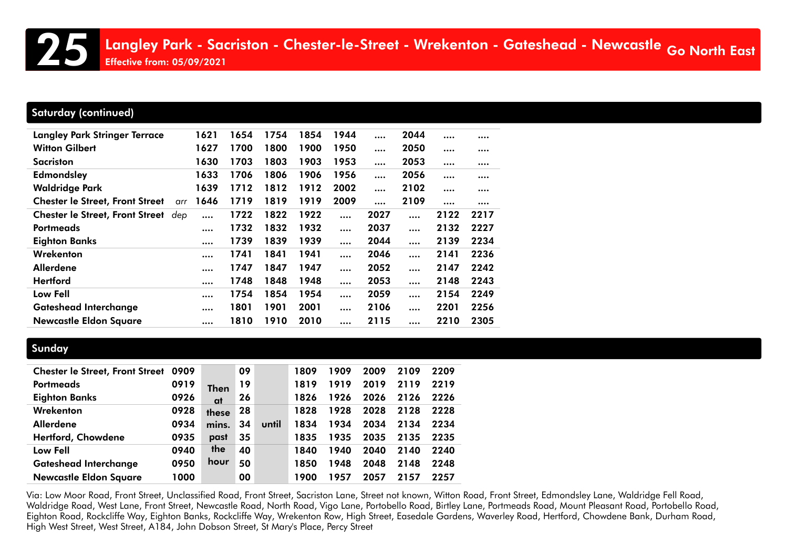# Saturday (continued)

| <b>Langley Park Stringer Terrace</b>   | 1621        | 1654 | 1754 | 1854 | 1944     |      | 2044     |          |          |
|----------------------------------------|-------------|------|------|------|----------|------|----------|----------|----------|
| <b>Witton Gilbert</b>                  | 1627        | 1700 | 1800 | 1900 | 1950     |      | 2050     |          |          |
| Sacriston                              | 1630        | 1703 | 1803 | 1903 | 1953     |      | 2053     |          |          |
| <b>Edmondsley</b>                      | 1633        | 1706 | 1806 | 1906 | 1956     |      | 2056     | $\cdots$ | $\cdots$ |
| <b>Waldridge Park</b>                  | 1639        | 1712 | 1812 | 1912 | 2002     |      | 2102     | $\cdots$ |          |
| <b>Chester le Street, Front Street</b> | 1646<br>arr | 1719 | 1819 | 1919 | 2009     |      | 2109     | $\cdots$ |          |
| Chester le Street, Front Street dep    | $\cdots$    | 1722 | 1822 | 1922 |          | 2027 | $\cdots$ | 2122     | 2217     |
| <b>Portmeads</b>                       |             | 1732 | 1832 | 1932 |          | 2037 | $\cdots$ | 2132     | 2227     |
| <b>Eighton Banks</b>                   | $\cdots$    | 1739 | 1839 | 1939 | $\cdots$ | 2044 | $\cdots$ | 2139     | 2234     |
| Wrekenton                              | $\cdots$    | 1741 | 1841 | 1941 | $\cdots$ | 2046 | $\cdots$ | 2141     | 2236     |
| <b>Allerdene</b>                       | $\cdots$    | 1747 | 1847 | 1947 | $\cdots$ | 2052 |          | 2147     | 2242     |
| <b>Hertford</b>                        | $\cdots$    | 1748 | 1848 | 1948 | $\cdots$ | 2053 |          | 2148     | 2243     |
| <b>Low Fell</b>                        | $\cdots$    | 1754 | 1854 | 1954 |          | 2059 | $\cdots$ | 2154     | 2249     |
| <b>Gateshead Interchange</b>           | $\cdots$    | 1801 | 1901 | 2001 |          | 2106 | $\cdots$ | 2201     | 2256     |
| <b>Newcastle Eldon Square</b>          | $\cdots$    | 1810 | 1910 | 2010 |          | 2115 | $\cdots$ | 2210     | 2305     |

### **Sunday**

| <b>Chester le Street, Front Street</b> | 0909 |             | 09 |       | 1809 | 1909 | 2009 | 2109 | 2209 |
|----------------------------------------|------|-------------|----|-------|------|------|------|------|------|
| Portmeads                              | 0919 | <b>Then</b> | 19 |       | 1819 | 1919 | 2019 | 2119 | 2219 |
| <b>Eighton Banks</b>                   | 0926 | at          | 26 |       | 1826 | 1926 | 2026 | 2126 | 2226 |
| Wrekenton                              | 0928 | these       | 28 |       | 1828 | 1928 | 2028 | 2128 | 2228 |
| <b>Allerdene</b>                       | 0934 | mins.       | 34 | until | 1834 | 1934 | 2034 | 2134 | 2234 |
| Hertford, Chowdene                     | 0935 | past        | 35 |       | 1835 | 1935 | 2035 | 2135 | 2235 |
| <b>Low Fell</b>                        | 0940 | the         | 40 |       | 1840 | 1940 | 2040 | 2140 | 2240 |
| <b>Gateshead Interchange</b>           | 0950 | hour        | 50 |       | 1850 | 1948 | 2048 | 2148 | 2248 |
| <b>Newcastle Eldon Square</b>          | 1000 |             | 00 |       | 1900 | 1957 | 2057 | 2157 | 2257 |

Via: Low Moor Road, Front Street, Unclassified Road, Front Street, Sacriston Lane, Street not known, Witton Road, Front Street, Edmondsley Lane, Waldridge Fell Road, Waldridge Road, West Lane, Front Street, Newcastle Road, North Road, Vigo Lane, Portobello Road, Birtley Lane, Portmeads Road, Mount Pleasant Road, Portobello Road, Eighton Road, Rockcliffe Way, Eighton Banks, Rockcliffe Way, Wrekenton Row, High Street, Easedale Gardens, Waverley Road, Hertford, Chowdene Bank, Durham Road, High West Street, West Street, A184, John Dobson Street, St Mary's Place, Percy Street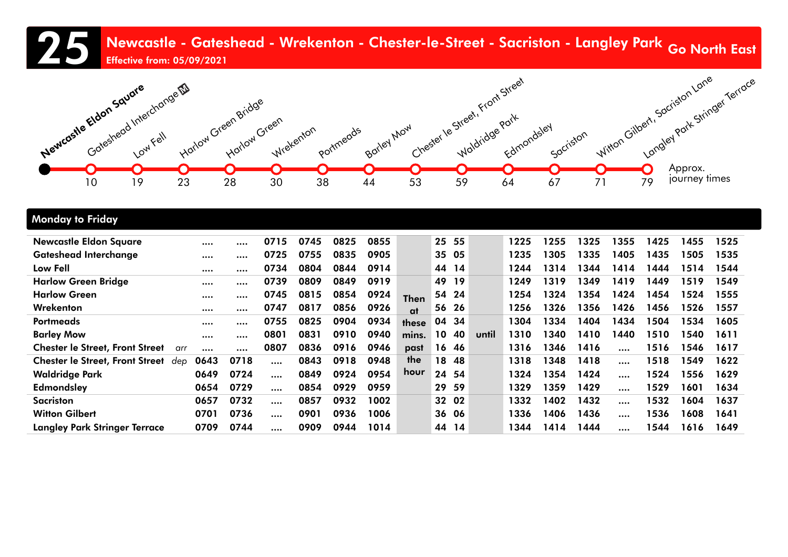# 25 Newcastle - Gateshead - Wrekenton - Chester-le-Street - Sacriston - Langley Park <sub>Go North</sub> East<br>Effective from: 05/09/2021 Effective from: 05/09/2021



#### Monday to Friday

| <b>Newcastle Eldon Square</b>                 |      |      | 0715     | 0745 | 0825 | 0855 |             |                 | 25 55 |       | 1225 | 1255 | 1325 | 1355     | 1425 | 1455 | 1525 |
|-----------------------------------------------|------|------|----------|------|------|------|-------------|-----------------|-------|-------|------|------|------|----------|------|------|------|
| <b>Gateshead Interchange</b>                  |      |      | 0725     | 0755 | 0835 | 0905 |             |                 | 35 05 |       | 1235 | 1305 | 1335 | 1405     | 1435 | 1505 | 1535 |
| Low Fell                                      |      |      | 0734     | 0804 | 0844 | 0914 |             |                 | 44 14 |       | 1244 | 1314 | 1344 | 1414     | 1444 | 1514 | 1544 |
| <b>Harlow Green Bridge</b>                    |      |      | 0739     | 0809 | 0849 | 0919 |             | 49              | 19    |       | 1249 | 1319 | 1349 | 1419     | 1449 | 1519 | 1549 |
| <b>Harlow Green</b>                           |      |      | 0745     | 0815 | 0854 | 0924 | <b>Then</b> |                 | 54 24 |       | 1254 | 1324 | 1354 | 1424     | 1454 | 1524 | 1555 |
| Wrekenton                                     |      |      | 0747     | 0817 | 0856 | 0926 | at          |                 | 56 26 |       | 1256 | 1326 | 1356 | 1426     | 1456 | 1526 | 1557 |
| <b>Portmeads</b>                              |      |      | 0755     | 0825 | 0904 | 0934 | these       |                 | 04 34 |       | 1304 | 1334 | 1404 | 1434     | 1504 | 1534 | 1605 |
| <b>Barley Mow</b>                             |      |      | 0801     | 0831 | 0910 | 0940 | mins.       | 10 <sup>°</sup> | 40    | until | 1310 | 1340 | 1410 | 1440     | 1510 | 1540 | 1611 |
| <b>Chester le Street, Front Street</b><br>arr |      |      | 0807     | 0836 | 0916 | 0946 | past        |                 | 16 46 |       | 1316 | 1346 | 1416 | $\cdots$ | 1516 | 1546 | 1617 |
| <b>Chester le Street, Front Street</b><br>dep | 0643 | 0718 | $\cdots$ | 0843 | 0918 | 0948 | the         | 18              | -48   |       | 1318 | 1348 | 1418 |          | 1518 | 1549 | 1622 |
| <b>Waldridge Park</b>                         | 0649 | 0724 |          | 0849 | 0924 | 0954 | hour        |                 | 24 54 |       | 1324 | 1354 | 1424 |          | 1524 | 1556 | 1629 |
| <b>Edmondsley</b>                             | 0654 | 0729 | $\cdots$ | 0854 | 0929 | 0959 |             | 29              | 59    |       | 1329 | 1359 | 1429 | $\cdots$ | 1529 | 1601 | 1634 |
| <b>Sacriston</b>                              | 0657 | 0732 | $\cdots$ | 0857 | 0932 | 1002 |             |                 | 32 02 |       | 1332 | 1402 | 1432 |          | 1532 | 1604 | 1637 |
| <b>Witton Gilbert</b>                         | 0701 | 0736 |          | 0901 | 0936 | 1006 |             |                 | 36 06 |       | 1336 | 1406 | 1436 | $\cdots$ | 1536 | 1608 | 1641 |
| <b>Langley Park Stringer Terrace</b>          | 0709 | 0744 |          | 0909 | 0944 | 1014 |             |                 | 44 14 |       | 1344 | 1414 | 1444 |          | 1544 | 1616 | 1649 |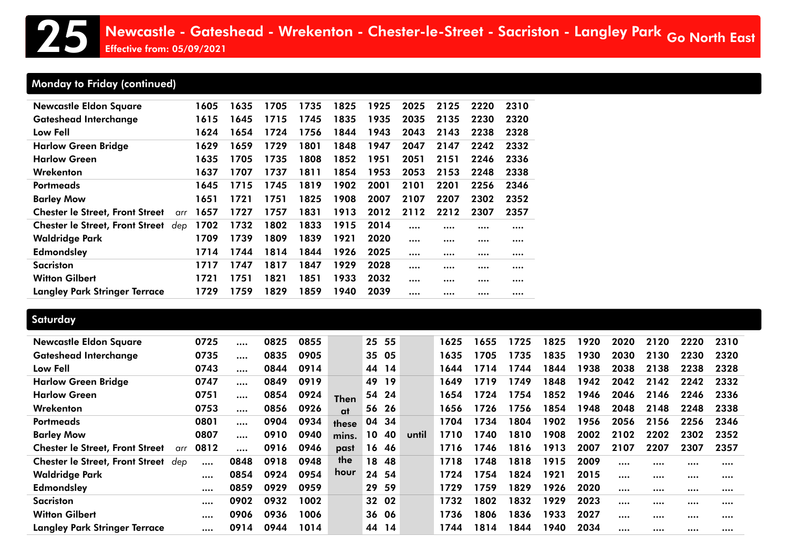# Monday to Friday (continued)

| <b>Newcastle Eldon Square</b>                 | 1605 | 1635 | 1705 | 1735 | 1825 | 1925 | 2025 | 2125 | 2220 | 2310 |
|-----------------------------------------------|------|------|------|------|------|------|------|------|------|------|
| <b>Gateshead Interchange</b>                  | 1615 | 1645 | 1715 | 1745 | 1835 | 1935 | 2035 | 2135 | 2230 | 2320 |
| Low Fell                                      | 1624 | 1654 | 1724 | 1756 | 1844 | 1943 | 2043 | 2143 | 2238 | 2328 |
| <b>Harlow Green Bridge</b>                    | 1629 | 1659 | 1729 | 1801 | 1848 | 1947 | 2047 | 2147 | 2242 | 2332 |
| <b>Harlow Green</b>                           | 1635 | 1705 | 1735 | 1808 | 1852 | 1951 | 2051 | 2151 | 2246 | 2336 |
| Wrekenton                                     | 1637 | 1707 | 1737 | 1811 | 1854 | 1953 | 2053 | 2153 | 2248 | 2338 |
| <b>Portmeads</b>                              | 1645 | 1715 | 1745 | 1819 | 1902 | 2001 | 2101 | 2201 | 2256 | 2346 |
| <b>Barley Mow</b>                             | 1651 | 1721 | 1751 | 1825 | 1908 | 2007 | 2107 | 2207 | 2302 | 2352 |
| <b>Chester le Street, Front Street</b><br>arr | 1657 | 1727 | 1757 | 1831 | 1913 | 2012 | 2112 | 2212 | 2307 | 2357 |
| <b>Chester le Street, Front Street</b><br>dep | 1702 | 1732 | 1802 | 1833 | 1915 | 2014 |      |      |      |      |
| <b>Waldridge Park</b>                         | 1709 | 1739 | 1809 | 1839 | 1921 | 2020 |      |      |      |      |
| <b>Edmondsley</b>                             | 1714 | 1744 | 1814 | 1844 | 1926 | 2025 |      |      |      |      |
| <b>Sacriston</b>                              | 1717 | 1747 | 1817 | 1847 | 1929 | 2028 |      |      |      |      |
| <b>Witton Gilbert</b>                         | 1721 | 1751 | 1821 | 1851 | 1933 | 2032 |      |      |      |      |
| <b>Langley Park Stringer Terrace</b>          | 1729 | 1759 | 1829 | 1859 | 1940 | 2039 |      |      |      |      |
|                                               |      |      |      |      |      |      |      |      |      |      |

### **Saturday**

| <b>Newcastle Eldon Square</b>                 | 0725     | $\cdots$ | 0825 | 0855 |             | 25    | 55  |       | 1625 | 1655 | 1725 | 1825 | 1920 | 2020 | 2120 | 2220 | 2310 |
|-----------------------------------------------|----------|----------|------|------|-------------|-------|-----|-------|------|------|------|------|------|------|------|------|------|
| <b>Gateshead Interchange</b>                  | 0735     |          | 0835 | 0905 |             | 35 05 |     |       | 1635 | 1705 | 1735 | 1835 | 1930 | 2030 | 2130 | 2230 | 2320 |
| Low Fell                                      | 0743     | $\cdots$ | 0844 | 0914 |             | 44    | 14  |       | 1644 | 1714 | 1744 | 1844 | 1938 | 2038 | 2138 | 2238 | 2328 |
| <b>Harlow Green Bridge</b>                    | 0747     | $\cdots$ | 0849 | 0919 |             | 49    | 19  |       | 1649 | 1719 | 1749 | 1848 | 1942 | 2042 | 2142 | 2242 | 2332 |
| <b>Harlow Green</b>                           | 0751     | $\cdots$ | 0854 | 0924 | <b>Then</b> | 54    | -24 |       | 1654 | 1724 | 1754 | 1852 | 1946 | 2046 | 2146 | 2246 | 2336 |
| Wrekenton                                     | 0753     | $\cdots$ | 0856 | 0926 | at          | 56    | -26 |       | 1656 | 1726 | 1756 | 1854 | 1948 | 2048 | 2148 | 2248 | 2338 |
| <b>Portmeads</b>                              | 0801     |          | 0904 | 0934 | these       | 04 34 |     |       | 1704 | 1734 | 1804 | 1902 | 1956 | 2056 | 2156 | 2256 | 2346 |
| <b>Barley Mow</b>                             | 0807     | $\cdots$ | 0910 | 0940 | mins.       | 10    | 40  | until | 1710 | 1740 | 1810 | 1908 | 2002 | 2102 | 2202 | 2302 | 2352 |
| <b>Chester le Street, Front Street</b><br>arr | 0812     | $\cdots$ | 0916 | 0946 | past        | 16 46 |     |       | 1716 | 1746 | 1816 | 1913 | 2007 | 2107 | 2207 | 2307 | 2357 |
| <b>Chester le Street, Front Street</b><br>dep | $\cdots$ | 0848     | 0918 | 0948 | the         | 18    | 48  |       | 1718 | 1748 | 1818 | 1915 | 2009 |      |      |      |      |
| <b>Waldridge Park</b>                         |          | 0854     | 0924 | 0954 | hour        | 24 54 |     |       | 1724 | 1754 | 1824 | 1921 | 2015 |      |      |      |      |
| Edmondsley                                    |          | 0859     | 0929 | 0959 |             | 29    | 59  |       | 1729 | 1759 | 1829 | 1926 | 2020 |      |      |      |      |
| Sacriston                                     |          | 0902     | 0932 | 1002 |             | 32 02 |     |       | 1732 | 1802 | 1832 | 1929 | 2023 |      |      |      |      |
| <b>Witton Gilbert</b>                         |          | 0906     | 0936 | 1006 |             | 36 06 |     |       | 1736 | 1806 | 1836 | 1933 | 2027 |      |      |      |      |
| <b>Langley Park Stringer Terrace</b>          |          | 0914     | 0944 | 1014 |             | 44    | 14  |       | 1744 | 1814 | 1844 | 1940 | 2034 |      |      |      |      |